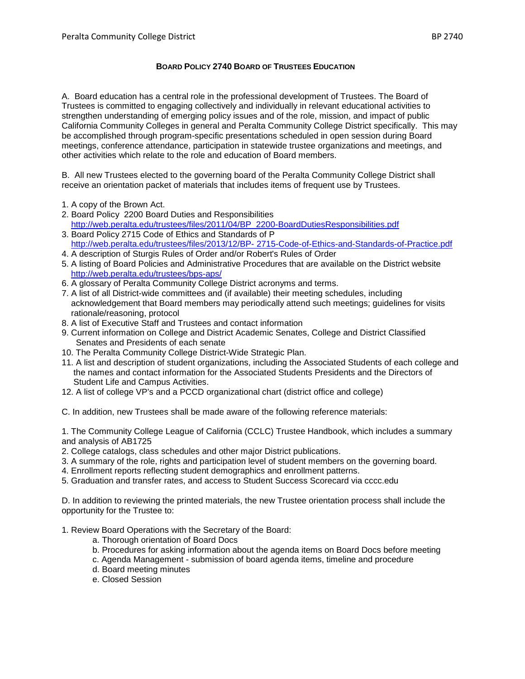## **BOARD POLICY 2740 BOARD OF TRUSTEES EDUCATION**

A. Board education has a central role in the professional development of Trustees. The Board of Trustees is committed to engaging collectively and individually in relevant educational activities to strengthen understanding of emerging policy issues and of the role, mission, and impact of public California Community Colleges in general and Peralta Community College District specifically. This may be accomplished through program-specific presentations scheduled in open session during Board meetings, conference attendance, participation in statewide trustee organizations and meetings, and other activities which relate to the role and education of Board members.

B. All new Trustees elected to the governing board of the Peralta Community College District shall receive an orientation packet of materials that includes items of frequent use by Trustees.

- 1. A copy of the Brown Act.
- 2. Board Policy 2200 Board Duties and Responsibilities [http://web.peralta.edu/trustees/files/2011/04/BP\\_2200-BoardDutiesResponsibilities.pdf](http://web.peralta.edu/trustees/files/2011/04/BP_2200-BoardDutiesResponsibilities.pdf)
- 3. Board Policy 2715 Code of Ethics and Standards of P http://web.peralta.edu/trustees/files/2013/12/BP- [2715-Code-of-Ethics-and-Standards-of-Practice.pdf](http://web.peralta.edu/trustees/files/2013/12/BP-%202715-Code-of-Ethics-and-Standards-of-Practice.pdf)
- 4. A description of Sturgis Rules of Order and/or Robert's Rules of Order
- 5. A listing of Board Policies and Administrative Procedures that are available on the District website <http://web.peralta.edu/trustees/bps-aps/>
- 6. A glossary of Peralta Community College District acronyms and terms.
- 7. A list of all District-wide committees and (if available) their meeting schedules, including acknowledgement that Board members may periodically attend such meetings; guidelines for visits rationale/reasoning, protocol
- 8. A list of Executive Staff and Trustees and contact information
- 9. Current information on College and District Academic Senates, College and District Classified Senates and Presidents of each senate
- 10. The Peralta Community College District-Wide Strategic Plan.
- 11. A list and description of student organizations, including the Associated Students of each college and the names and contact information for the Associated Students Presidents and the Directors of Student Life and Campus Activities.
- 12. A list of college VP's and a PCCD organizational chart (district office and college)

C. In addition, new Trustees shall be made aware of the following reference materials:

1. The Community College League of California (CCLC) Trustee Handbook, which includes a summary and analysis of AB1725

- 2. College catalogs, class schedules and other major District publications.
- 3. A summary of the role, rights and participation level of student members on the governing board.
- 4. Enrollment reports reflecting student demographics and enrollment patterns.
- 5. Graduation and transfer rates, and access to Student Success Scorecard via cccc.edu

D. In addition to reviewing the printed materials, the new Trustee orientation process shall include the opportunity for the Trustee to:

1. Review Board Operations with the Secretary of the Board:

- a. Thorough orientation of Board Docs
- b. Procedures for asking information about the agenda items on Board Docs before meeting
- c. Agenda Management submission of board agenda items, timeline and procedure
- d. Board meeting minutes
- e. Closed Session